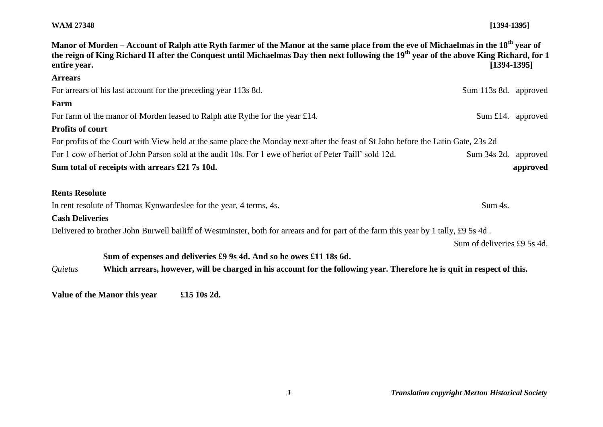## **WAM 27348 [1394-1395]**

| Manor of Morden – Account of Ralph atte Ryth farmer of the Manor at the same place from the eve of Michaelmas in the 18 <sup>th</sup> year of<br>the reign of King Richard II after the Conquest until Michaelmas Day then next following the 19 <sup>th</sup> year of the above King Richard, for 1<br>$[1394-1395]$<br>entire year. |                             |
|---------------------------------------------------------------------------------------------------------------------------------------------------------------------------------------------------------------------------------------------------------------------------------------------------------------------------------------|-----------------------------|
| <b>Arrears</b>                                                                                                                                                                                                                                                                                                                        |                             |
| For arrears of his last account for the preceding year 113s 8d.                                                                                                                                                                                                                                                                       | Sum 113s 8d. approved       |
| Farm                                                                                                                                                                                                                                                                                                                                  |                             |
| For farm of the manor of Morden leased to Ralph atte Rythe for the year £14.                                                                                                                                                                                                                                                          | Sum £14. approved           |
| <b>Profits of court</b>                                                                                                                                                                                                                                                                                                               |                             |
| For profits of the Court with View held at the same place the Monday next after the feast of St John before the Latin Gate, 23s 2d                                                                                                                                                                                                    |                             |
| For 1 cow of heriot of John Parson sold at the audit 10s. For 1 ewe of heriot of Peter Taill' sold 12d.                                                                                                                                                                                                                               | Sum 34s 2d. approved        |
| Sum total of receipts with arrears £21 7s 10d.                                                                                                                                                                                                                                                                                        | approved                    |
| <b>Rents Resolute</b>                                                                                                                                                                                                                                                                                                                 |                             |
| In rent resolute of Thomas Kynwardeslee for the year, 4 terms, 4s.                                                                                                                                                                                                                                                                    | Sum 4s.                     |
| <b>Cash Deliveries</b>                                                                                                                                                                                                                                                                                                                |                             |
| Delivered to brother John Burwell bailiff of Westminster, both for arrears and for part of the farm this year by 1 tally, £9 5s 4d.                                                                                                                                                                                                   |                             |
|                                                                                                                                                                                                                                                                                                                                       | Sum of deliveries £9 5s 4d. |
| Sum of expenses and deliveries £9 9s 4d. And so he owes £11 18s 6d.                                                                                                                                                                                                                                                                   |                             |
| Which arrears, however, will be charged in his account for the following year. Therefore he is quit in respect of this.<br>Quietus                                                                                                                                                                                                    |                             |

**Value of the Manor this year £15 10s 2d.**